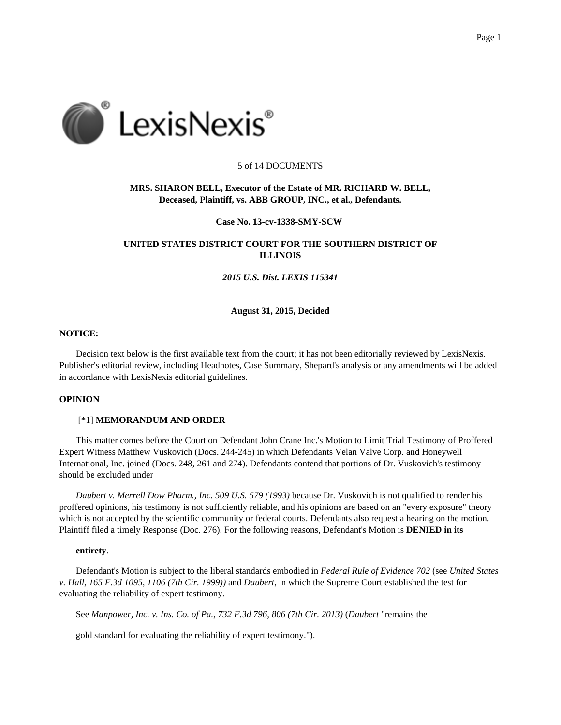

## 5 of 14 DOCUMENTS

# **MRS. SHARON BELL, Executor of the Estate of MR. RICHARD W. BELL, Deceased, Plaintiff, vs. ABB GROUP, INC., et al., Defendants.**

#### **Case No. 13-cv-1338-SMY-SCW**

# **UNITED STATES DISTRICT COURT FOR THE SOUTHERN DISTRICT OF ILLINOIS**

## *2015 U.S. Dist. LEXIS 115341*

## **August 31, 2015, Decided**

## **NOTICE:**

Decision text below is the first available text from the court; it has not been editorially reviewed by LexisNexis. Publisher's editorial review, including Headnotes, Case Summary, Shepard's analysis or any amendments will be added in accordance with LexisNexis editorial guidelines.

# **OPINION**

#### [\*1] **MEMORANDUM AND ORDER**

This matter comes before the Court on Defendant John Crane Inc.'s Motion to Limit Trial Testimony of Proffered Expert Witness Matthew Vuskovich (Docs. 244-245) in which Defendants Velan Valve Corp. and Honeywell International, Inc. joined (Docs. 248, 261 and 274). Defendants contend that portions of Dr. Vuskovich's testimony should be excluded under

*Daubert v. Merrell Dow Pharm., Inc. 509 U.S. 579 (1993)* because Dr. Vuskovich is not qualified to render his proffered opinions, his testimony is not sufficiently reliable, and his opinions are based on an "every exposure" theory which is not accepted by the scientific community or federal courts. Defendants also request a hearing on the motion. Plaintiff filed a timely Response (Doc. 276). For the following reasons, Defendant's Motion is **DENIED in its**

#### **entirety**.

Defendant's Motion is subject to the liberal standards embodied in *Federal Rule of Evidence 702* (see *United States v. Hall, 165 F.3d 1095, 1106 (7th Cir. 1999))* and *Daubert*, in which the Supreme Court established the test for evaluating the reliability of expert testimony.

See *Manpower, Inc. v. Ins. Co. of Pa., 732 F.3d 796, 806 (7th Cir. 2013)* (*Daubert* "remains the

gold standard for evaluating the reliability of expert testimony.").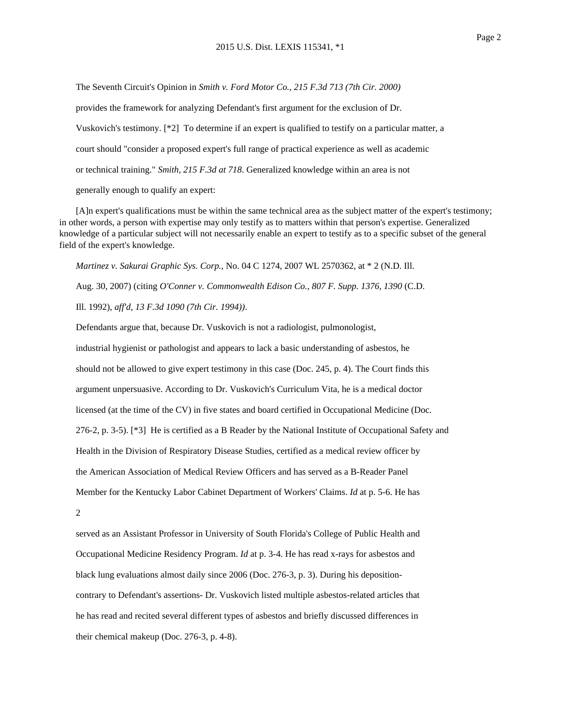The Seventh Circuit's Opinion in *Smith v. Ford Motor Co., 215 F.3d 713 (7th Cir. 2000)*

provides the framework for analyzing Defendant's first argument for the exclusion of Dr.

Vuskovich's testimony. [\*2] To determine if an expert is qualified to testify on a particular matter, a

court should "consider a proposed expert's full range of practical experience as well as academic

or technical training." *Smith, 215 F.3d at 718*. Generalized knowledge within an area is not

generally enough to qualify an expert:

[A]n expert's qualifications must be within the same technical area as the subject matter of the expert's testimony; in other words, a person with expertise may only testify as to matters within that person's expertise. Generalized knowledge of a particular subject will not necessarily enable an expert to testify as to a specific subset of the general field of the expert's knowledge.

*Martinez v. Sakurai Graphic Sys. Corp.*, No. 04 C 1274, 2007 WL 2570362, at \* 2 (N.D. Ill.

Aug. 30, 2007) (citing *O'Conner v. Commonwealth Edison Co., 807 F. Supp. 1376, 1390* (C.D.

Ill. 1992), *aff'd*, *13 F.3d 1090 (7th Cir. 1994))*.

Defendants argue that, because Dr. Vuskovich is not a radiologist, pulmonologist, industrial hygienist or pathologist and appears to lack a basic understanding of asbestos, he should not be allowed to give expert testimony in this case (Doc. 245, p. 4). The Court finds this argument unpersuasive. According to Dr. Vuskovich's Curriculum Vita, he is a medical doctor licensed (at the time of the CV) in five states and board certified in Occupational Medicine (Doc. 276-2, p. 3-5). [\*3] He is certified as a B Reader by the National Institute of Occupational Safety and Health in the Division of Respiratory Disease Studies, certified as a medical review officer by the American Association of Medical Review Officers and has served as a B-Reader Panel Member for the Kentucky Labor Cabinet Department of Workers' Claims. *Id* at p. 5-6. He has 2

served as an Assistant Professor in University of South Florida's College of Public Health and Occupational Medicine Residency Program. *Id* at p. 3-4. He has read x-rays for asbestos and black lung evaluations almost daily since 2006 (Doc. 276-3, p. 3). During his depositioncontrary to Defendant's assertions- Dr. Vuskovich listed multiple asbestos-related articles that he has read and recited several different types of asbestos and briefly discussed differences in their chemical makeup (Doc. 276-3, p. 4-8).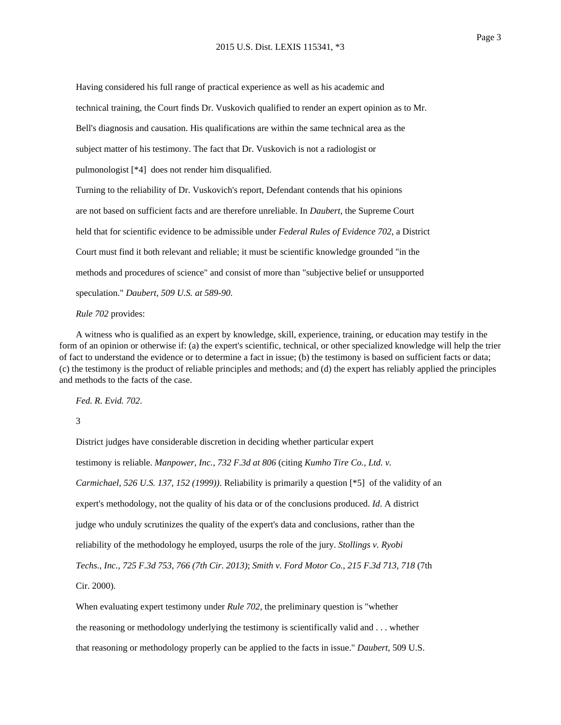Having considered his full range of practical experience as well as his academic and technical training, the Court finds Dr. Vuskovich qualified to render an expert opinion as to Mr. Bell's diagnosis and causation. His qualifications are within the same technical area as the subject matter of his testimony. The fact that Dr. Vuskovich is not a radiologist or pulmonologist [\*4] does not render him disqualified. Turning to the reliability of Dr. Vuskovich's report, Defendant contends that his opinions are not based on sufficient facts and are therefore unreliable. In *Daubert*, the Supreme Court held that for scientific evidence to be admissible under *Federal Rules of Evidence 702*, a District Court must find it both relevant and reliable; it must be scientific knowledge grounded "in the methods and procedures of science" and consist of more than "subjective belief or unsupported speculation." *Daubert, 509 U.S. at 589-90*.

## *Rule 702* provides:

A witness who is qualified as an expert by knowledge, skill, experience, training, or education may testify in the form of an opinion or otherwise if: (a) the expert's scientific, technical, or other specialized knowledge will help the trier of fact to understand the evidence or to determine a fact in issue; (b) the testimony is based on sufficient facts or data; (c) the testimony is the product of reliable principles and methods; and (d) the expert has reliably applied the principles and methods to the facts of the case.

*Fed. R. Evid. 702*.

3

District judges have considerable discretion in deciding whether particular expert testimony is reliable. *Manpower, Inc., 732 F.3d at 806* (citing *Kumho Tire Co., Ltd. v. Carmichael, 526 U.S. 137, 152 (1999))*. Reliability is primarily a question [\*5] of the validity of an expert's methodology, not the quality of his data or of the conclusions produced. *Id*. A district judge who unduly scrutinizes the quality of the expert's data and conclusions, rather than the reliability of the methodology he employed, usurps the role of the jury. *Stollings v. Ryobi Techs., Inc., 725 F.3d 753, 766 (7th Cir. 2013)*; *Smith v. Ford Motor Co., 215 F.3d 713, 718* (7th Cir. 2000).

When evaluating expert testimony under *Rule 702*, the preliminary question is "whether the reasoning or methodology underlying the testimony is scientifically valid and . . . whether that reasoning or methodology properly can be applied to the facts in issue." *Daubert*, 509 U.S.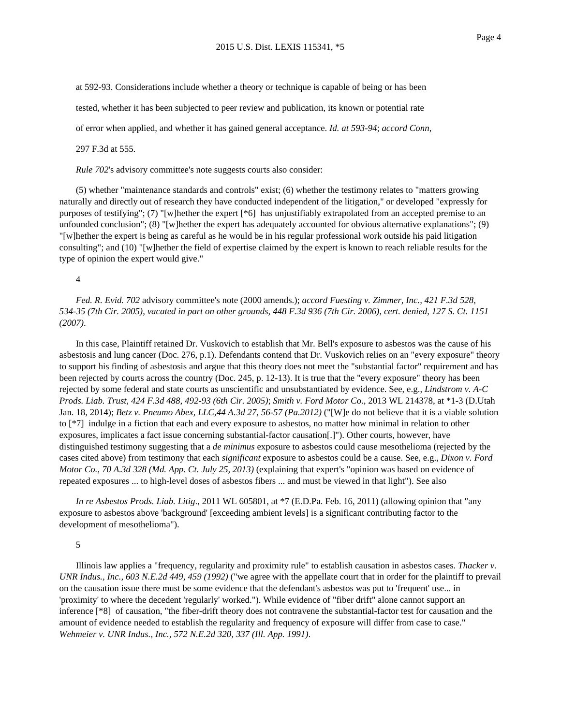at 592-93. Considerations include whether a theory or technique is capable of being or has been

tested, whether it has been subjected to peer review and publication, its known or potential rate

of error when applied, and whether it has gained general acceptance. *Id. at 593-94*; *accord Conn*,

297 F.3d at 555.

*Rule 702*'s advisory committee's note suggests courts also consider:

(5) whether "maintenance standards and controls" exist; (6) whether the testimony relates to "matters growing naturally and directly out of research they have conducted independent of the litigation," or developed "expressly for purposes of testifying"; (7) "[w]hether the expert [\*6] has unjustifiably extrapolated from an accepted premise to an unfounded conclusion"; (8) "[w]hether the expert has adequately accounted for obvious alternative explanations"; (9) "[w]hether the expert is being as careful as he would be in his regular professional work outside his paid litigation consulting"; and (10) "[w]hether the field of expertise claimed by the expert is known to reach reliable results for the type of opinion the expert would give."

4

*Fed. R. Evid. 702* advisory committee's note (2000 amends.); *accord Fuesting v. Zimmer, Inc., 421 F.3d 528, 534-35 (7th Cir. 2005)*, *vacated in part on other grounds*, *448 F.3d 936 (7th Cir. 2006)*, *cert. denied*, *127 S. Ct. 1151 (2007)*.

In this case, Plaintiff retained Dr. Vuskovich to establish that Mr. Bell's exposure to asbestos was the cause of his asbestosis and lung cancer (Doc. 276, p.1). Defendants contend that Dr. Vuskovich relies on an "every exposure" theory to support his finding of asbestosis and argue that this theory does not meet the "substantial factor" requirement and has been rejected by courts across the country (Doc. 245, p. 12-13). It is true that the "every exposure" theory has been rejected by some federal and state courts as unscientific and unsubstantiated by evidence. See, e.g., *Lindstrom v. A-C Prods. Liab. Trust, 424 F.3d 488, 492-93 (6th Cir. 2005)*; *Smith v. Ford Motor Co*., 2013 WL 214378, at \*1-3 (D.Utah Jan. 18, 2014); *Betz v. Pneumo Abex, LLC,44 A.3d 27, 56-57 (Pa.2012)* ("[W]e do not believe that it is a viable solution to [\*7] indulge in a fiction that each and every exposure to asbestos, no matter how minimal in relation to other exposures, implicates a fact issue concerning substantial-factor causation[.]"). Other courts, however, have distinguished testimony suggesting that a *de minimus* exposure to asbestos could cause mesothelioma (rejected by the cases cited above) from testimony that each *significant* exposure to asbestos could be a cause. See, e.g., *Dixon v. Ford Motor Co., 70 A.3d 328 (Md. App. Ct. July 25, 2013)* (explaining that expert's "opinion was based on evidence of repeated exposures ... to high-level doses of asbestos fibers ... and must be viewed in that light"). See also

*In re Asbestos Prods. Liab. Litig*., 2011 WL 605801, at \*7 (E.D.Pa. Feb. 16, 2011) (allowing opinion that "any exposure to asbestos above 'background' [exceeding ambient levels] is a significant contributing factor to the development of mesothelioma").

# 5

Illinois law applies a "frequency, regularity and proximity rule" to establish causation in asbestos cases. *Thacker v. UNR Indus., Inc., 603 N.E.2d 449, 459 (1992)* ("we agree with the appellate court that in order for the plaintiff to prevail on the causation issue there must be some evidence that the defendant's asbestos was put to 'frequent' use... in 'proximity' to where the decedent 'regularly' worked."). While evidence of "fiber drift" alone cannot support an inference [\*8] of causation, "the fiber-drift theory does not contravene the substantial-factor test for causation and the amount of evidence needed to establish the regularity and frequency of exposure will differ from case to case." *Wehmeier v. UNR Indus., Inc., 572 N.E.2d 320, 337 (Ill. App. 1991)*.